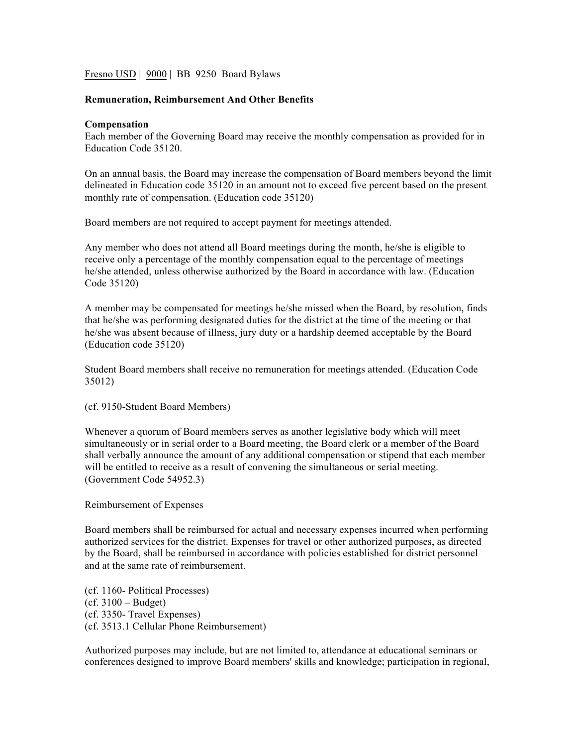Fresno USD | 9000 | BB 9250 Board Bylaws

## **Remuneration, Reimbursement And Other Benefits**

## **Compensation**

Each member of the Governing Board may receive the monthly compensation as provided for in Education Code 35120.

On an annual basis, the Board may increase the compensation of Board members beyond the limit delineated in Education code 35120 in an amount not to exceed five percent based on the present monthly rate of compensation. (Education code 35120)

Board members are not required to accept payment for meetings attended.

Any member who does not attend all Board meetings during the month, he/she is eligible to receive only a percentage of the monthly compensation equal to the percentage of meetings he/she attended, unless otherwise authorized by the Board in accordance with law. (Education Code 35120)

A member may be compensated for meetings he/she missed when the Board, by resolution, finds that he/she was performing designated duties for the district at the time of the meeting or that he/she was absent because of illness, jury duty or a hardship deemed acceptable by the Board (Education code 35120)

Student Board members shall receive no remuneration for meetings attended. (Education Code 35012)

(cf. 9150-Student Board Members)

Whenever a quorum of Board members serves as another legislative body which will meet simultaneously or in serial order to a Board meeting, the Board clerk or a member of the Board shall verbally announce the amount of any additional compensation or stipend that each member will be entitled to receive as a result of convening the simultaneous or serial meeting. (Government Code 54952.3)

Reimbursement of Expenses

Board members shall be reimbursed for actual and necessary expenses incurred when performing authorized services for the district. Expenses for travel or other authorized purposes, as directed by the Board, shall be reimbursed in accordance with policies established for district personnel and at the same rate of reimbursement.

(cf. 1160- Political Processes)  $(cf. 3100 - Budget)$ (cf. 3350- Travel Expenses) (cf. 3513.1 Cellular Phone Reimbursement)

Authorized purposes may include, but are not limited to, attendance at educational seminars or conferences designed to improve Board members' skills and knowledge; participation in regional,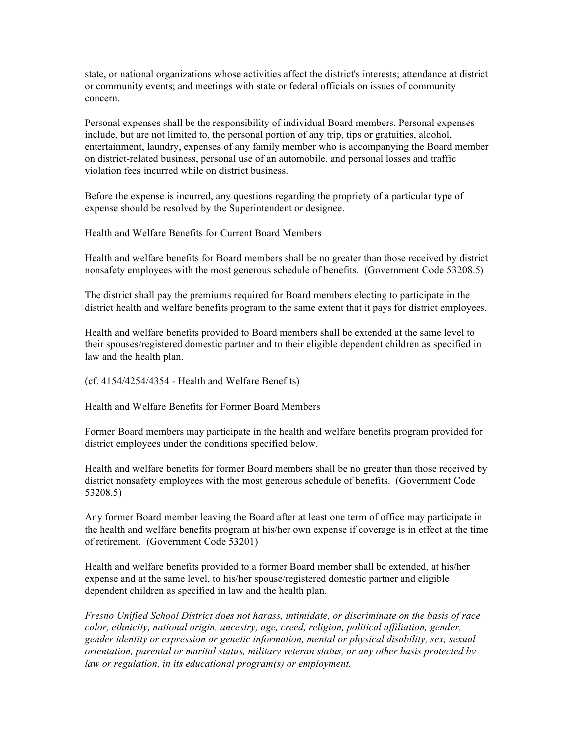state, or national organizations whose activities affect the district's interests; attendance at district or community events; and meetings with state or federal officials on issues of community concern.

Personal expenses shall be the responsibility of individual Board members. Personal expenses include, but are not limited to, the personal portion of any trip, tips or gratuities, alcohol, entertainment, laundry, expenses of any family member who is accompanying the Board member on district-related business, personal use of an automobile, and personal losses and traffic violation fees incurred while on district business.

Before the expense is incurred, any questions regarding the propriety of a particular type of expense should be resolved by the Superintendent or designee.

Health and Welfare Benefits for Current Board Members

Health and welfare benefits for Board members shall be no greater than those received by district nonsafety employees with the most generous schedule of benefits. (Government Code 53208.5)

The district shall pay the premiums required for Board members electing to participate in the district health and welfare benefits program to the same extent that it pays for district employees.

Health and welfare benefits provided to Board members shall be extended at the same level to their spouses/registered domestic partner and to their eligible dependent children as specified in law and the health plan.

(cf. 4154/4254/4354 - Health and Welfare Benefits)

Health and Welfare Benefits for Former Board Members

Former Board members may participate in the health and welfare benefits program provided for district employees under the conditions specified below.

Health and welfare benefits for former Board members shall be no greater than those received by district nonsafety employees with the most generous schedule of benefits. (Government Code 53208.5)

Any former Board member leaving the Board after at least one term of office may participate in the health and welfare benefits program at his/her own expense if coverage is in effect at the time of retirement. (Government Code 53201)

Health and welfare benefits provided to a former Board member shall be extended, at his/her expense and at the same level, to his/her spouse/registered domestic partner and eligible dependent children as specified in law and the health plan.

*Fresno Unified School District does not harass, intimidate, or discriminate on the basis of race, color, ethnicity, national origin, ancestry, age, creed, religion, political affiliation, gender, gender identity or expression or genetic information, mental or physical disability, sex, sexual orientation, parental or marital status, military veteran status, or any other basis protected by law or regulation, in its educational program(s) or employment.*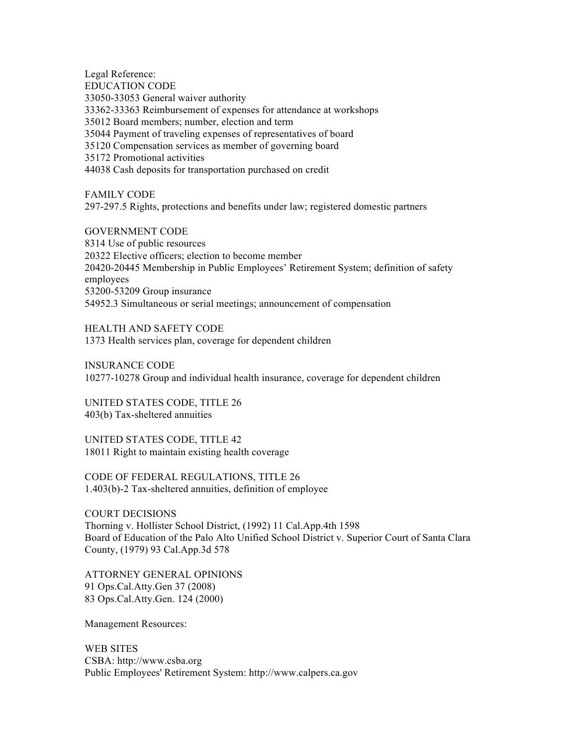Legal Reference: EDUCATION CODE 33050-33053 General waiver authority 33362-33363 Reimbursement of expenses for attendance at workshops 35012 Board members; number, election and term 35044 Payment of traveling expenses of representatives of board 35120 Compensation services as member of governing board 35172 Promotional activities 44038 Cash deposits for transportation purchased on credit

FAMILY CODE 297-297.5 Rights, protections and benefits under law; registered domestic partners

GOVERNMENT CODE 8314 Use of public resources 20322 Elective officers; election to become member 20420-20445 Membership in Public Employees' Retirement System; definition of safety employees 53200-53209 Group insurance 54952.3 Simultaneous or serial meetings; announcement of compensation

HEALTH AND SAFETY CODE 1373 Health services plan, coverage for dependent children

INSURANCE CODE 10277-10278 Group and individual health insurance, coverage for dependent children

UNITED STATES CODE, TITLE 26 403(b) Tax-sheltered annuities

UNITED STATES CODE, TITLE 42 18011 Right to maintain existing health coverage

CODE OF FEDERAL REGULATIONS, TITLE 26 1.403(b)-2 Tax-sheltered annuities, definition of employee

COURT DECISIONS Thorning v. Hollister School District, (1992) 11 Cal.App.4th 1598 Board of Education of the Palo Alto Unified School District v. Superior Court of Santa Clara County, (1979) 93 Cal.App.3d 578

ATTORNEY GENERAL OPINIONS 91 Ops.Cal.Atty.Gen 37 (2008) 83 Ops.Cal.Atty.Gen. 124 (2000)

Management Resources:

WEB SITES CSBA: http://www.csba.org Public Employees' Retirement System: http://www.calpers.ca.gov